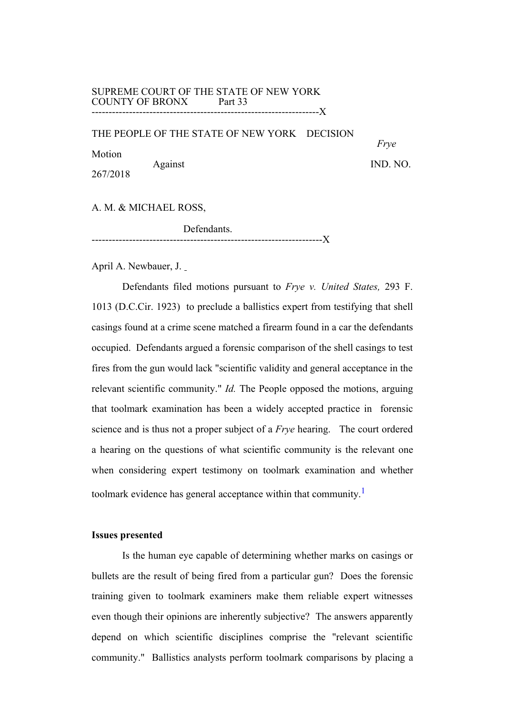#### SUPREME COURT OF THE STATE OF NEW YORK COUNTY OF BRONX Part 33 ---------------------------X

THE PEOPLE OF THE STATE OF NEW YORK DECISION

Motion Against IND. NO. 267/2018

*Frye*

A. M. & MICHAEL ROSS,

Defendants. --------------------------------------------------------------------X

April A. Newbauer, J.

Defendants filed motions pursuant to *Frye v. United States,* 293 F. 1013 (D.C.Cir. 1923) to preclude a ballistics expert from testifying that shell casings found at a crime scene matched a firearm found in a car the defendants occupied. Defendants argued a forensic comparison of the shell casings to test fires from the gun would lack "scientific validity and general acceptance in the relevant scientific community." *Id.* The People opposed the motions, arguing that toolmark examination has been a widely accepted practice in forensic science and is thus not a proper subject of a *Frye* hearing. The court ordered a hearing on the questions of what scientific community is the relevant one when considering expert testimony on toolmark examination and whether toolmark evidence has general acceptance within that community.<sup>1</sup>

# **Issues presented**

Is the human eye capable of determining whether marks on casings or bullets are the result of being fired from a particular gun? Does the forensic training given to toolmark examiners make them reliable expert witnesses even though their opinions are inherently subjective? The answers apparently depend on which scientific disciplines comprise the "relevant scientific community." Ballistics analysts perform toolmark comparisons by placing a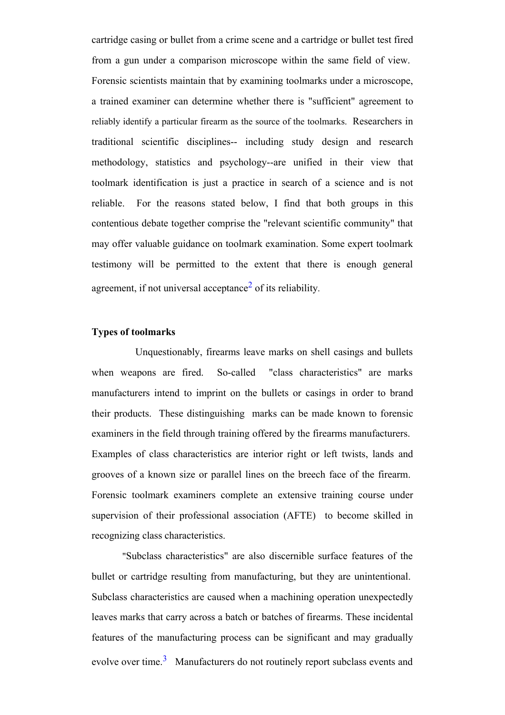cartridge casing or bullet from a crime scene and a cartridge or bullet test fired from a gun under a comparison microscope within the same field of view. Forensic scientists maintain that by examining toolmarks under a microscope, a trained examiner can determine whether there is "sufficient" agreement to reliably identify a particular firearm as the source of the toolmarks. Researchers in traditional scientific disciplines-- including study design and research methodology, statistics and psychology--are unified in their view that toolmark identification is just a practice in search of a science and is not reliable. For the reasons stated below, I find that both groups in this contentious debate together comprise the "relevant scientific community" that may offer valuable guidance on toolmark examination. Some expert toolmark testimony will be permitted to the extent that there is enough general agreement, if not universal acceptance<sup>2</sup> of its reliability.

# **Types of toolmarks**

Unquestionably, firearms leave marks on shell casings and bullets when weapons are fired. So-called "class characteristics" are marks manufacturers intend to imprint on the bullets or casings in order to brand their products. These distinguishing marks can be made known to forensic examiners in the field through training offered by the firearms manufacturers. Examples of class characteristics are interior right or left twists, lands and grooves of a known size or parallel lines on the breech face of the firearm. Forensic toolmark examiners complete an extensive training course under supervision of their professional association (AFTE) to become skilled in recognizing class characteristics.

"Subclass characteristics" are also discernible surface features of the bullet or cartridge resulting from manufacturing, but they are unintentional. Subclass characteristics are caused when a machining operation unexpectedly leaves marks that carry across a batch or batches of firearms. These incidental features of the manufacturing process can be significant and may gradually evolve over time.<sup>3</sup> Manufacturers do not routinely report subclass events and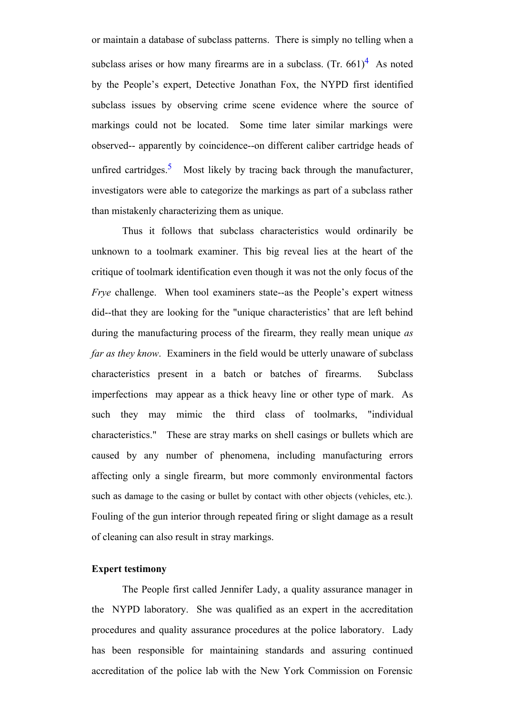or maintain a database of subclass patterns. There is simply no telling when a subclass arises or how many firearms are in a subclass. (Tr.  $661<sup>4</sup>$  As noted by the People's expert, Detective Jonathan Fox, the NYPD first identified subclass issues by observing crime scene evidence where the source of markings could not be located. Some time later similar markings were observed-- apparently by coincidence--on different caliber cartridge heads of unfired cartridges.<sup>5</sup> Most likely by tracing back through the manufacturer, investigators were able to categorize the markings as part of a subclass rather than mistakenly characterizing them as unique.

Thus it follows that subclass characteristics would ordinarily be unknown to a toolmark examiner. This big reveal lies at the heart of the critique of toolmark identification even though it was not the only focus of the *Frye* challenge. When tool examiners state--as the People's expert witness did--that they are looking for the "unique characteristics' that are left behind during the manufacturing process of the firearm, they really mean unique *as far as they know*. Examiners in the field would be utterly unaware of subclass characteristics present in a batch or batches of firearms. Subclass imperfections may appear as a thick heavy line or other type of mark. As such they may mimic the third class of toolmarks, "individual characteristics." These are stray marks on shell casings or bullets which are caused by any number of phenomena, including manufacturing errors affecting only a single firearm, but more commonly environmental factors such as damage to the casing or bullet by contact with other objects (vehicles, etc.). Fouling of the gun interior through repeated firing or slight damage as a result of cleaning can also result in stray markings.

### **Expert testimony**

The People first called Jennifer Lady, a quality assurance manager in the NYPD laboratory. She was qualified as an expert in the accreditation procedures and quality assurance procedures at the police laboratory. Lady has been responsible for maintaining standards and assuring continued accreditation of the police lab with the New York Commission on Forensic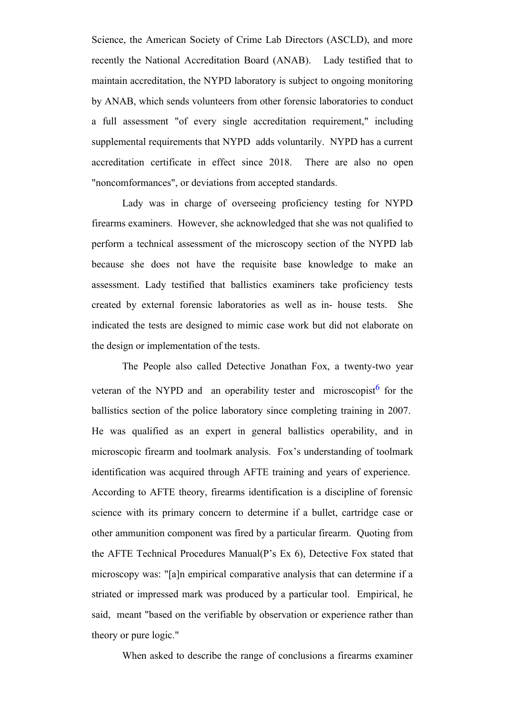Science, the American Society of Crime Lab Directors (ASCLD), and more recently the National Accreditation Board (ANAB). Lady testified that to maintain accreditation, the NYPD laboratory is subject to ongoing monitoring by ANAB, which sends volunteers from other forensic laboratories to conduct a full assessment "of every single accreditation requirement," including supplemental requirements that NYPD adds voluntarily. NYPD has a current accreditation certificate in effect since 2018. There are also no open "noncomformances", or deviations from accepted standards.

Lady was in charge of overseeing proficiency testing for NYPD firearms examiners. However, she acknowledged that she was not qualified to perform a technical assessment of the microscopy section of the NYPD lab because she does not have the requisite base knowledge to make an assessment. Lady testified that ballistics examiners take proficiency tests created by external forensic laboratories as well as in- house tests. She indicated the tests are designed to mimic case work but did not elaborate on the design or implementation of the tests.

The People also called Detective Jonathan Fox, a twenty-two year veteran of the NYPD and an operability tester and microscopist $<sup>6</sup>$  for the</sup> ballistics section of the police laboratory since completing training in 2007. He was qualified as an expert in general ballistics operability, and in microscopic firearm and toolmark analysis. Fox's understanding of toolmark identification was acquired through AFTE training and years of experience. According to AFTE theory, firearms identification is a discipline of forensic science with its primary concern to determine if a bullet, cartridge case or other ammunition component was fired by a particular firearm. Quoting from the AFTE Technical Procedures Manual(P's Ex 6), Detective Fox stated that microscopy was: "[a]n empirical comparative analysis that can determine if a striated or impressed mark was produced by a particular tool. Empirical, he said, meant "based on the verifiable by observation or experience rather than theory or pure logic."

When asked to describe the range of conclusions a firearms examiner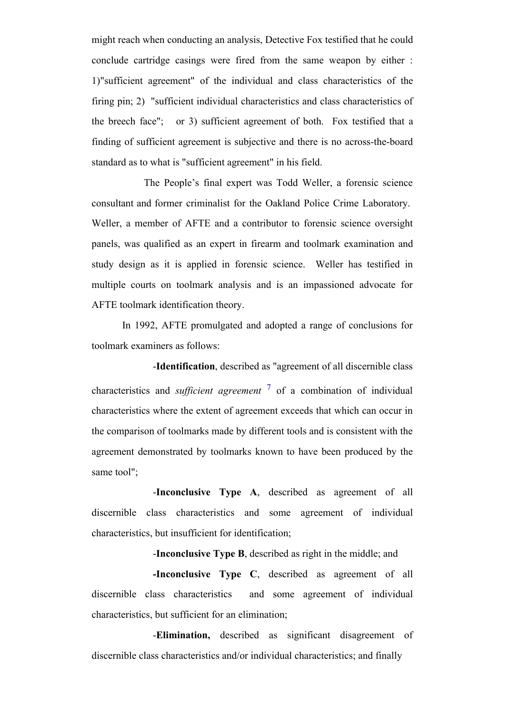might reach when conducting an analysis, Detective Fox testified that he could conclude cartridge casings were fired from the same weapon by either : 1)"sufficient agreement" of the individual and class characteristics of the firing pin; 2) "sufficient individual characteristics and class characteristics of the breech face"; or 3) sufficient agreement of both. Fox testified that a finding of sufficient agreement is subjective and there is no across-the-board standard as to what is "sufficient agreement" in his field.

The People's final expert was Todd Weller, a forensic science consultant and former criminalist for the Oakland Police Crime Laboratory. Weller, a member of AFTE and a contributor to forensic science oversight panels, was qualified as an expert in firearm and toolmark examination and study design as it is applied in forensic science. Weller has testified in multiple courts on toolmark analysis and is an impassioned advocate for AFTE toolmark identification theory.

In 1992, AFTE promulgated and adopted a range of conclusions for toolmark examiners as follows:

-**Identification**, described as "agreement of all discernible class characteristics and *sufficient agreement* <sup>7</sup> of a combination of individual characteristics where the extent of agreement exceeds that which can occur in the comparison of toolmarks made by different tools and is consistent with the agreement demonstrated by toolmarks known to have been produced by the same tool";

-**Inconclusive Type A**, described as agreement of all discernible class characteristics and some agreement of individual characteristics, but insufficient for identification;

-**Inconclusive Type B**, described as right in the middle; and

**-Inconclusive Type C**, described as agreement of all discernible class characteristics and some agreement of individual characteristics, but sufficient for an elimination;

-**Elimination,** described as significant disagreement of discernible class characteristics and/or individual characteristics; and finally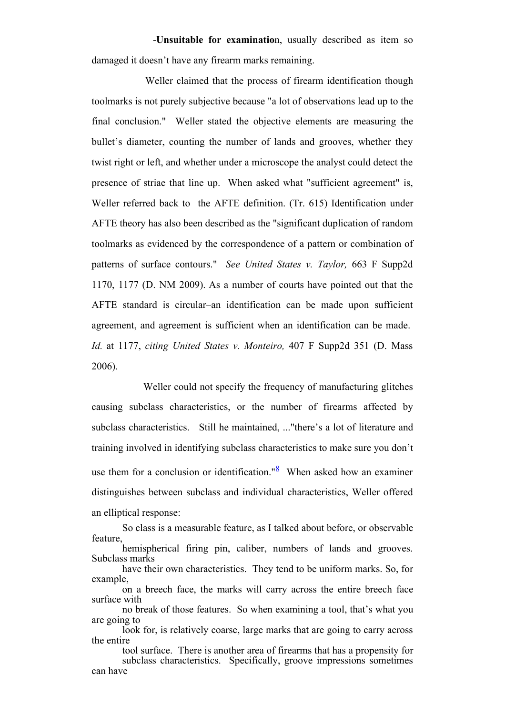-**Unsuitable for examinatio**n, usually described as item so damaged it doesn't have any firearm marks remaining.

Weller claimed that the process of firearm identification though toolmarks is not purely subjective because "a lot of observations lead up to the final conclusion." Weller stated the objective elements are measuring the bullet's diameter, counting the number of lands and grooves, whether they twist right or left, and whether under a microscope the analyst could detect the presence of striae that line up. When asked what "sufficient agreement" is, Weller referred back to the AFTE definition. (Tr. 615) Identification under AFTE theory has also been described as the "significant duplication of random toolmarks as evidenced by the correspondence of a pattern or combination of patterns of surface contours." *See United States v. Taylor,* 663 F Supp2d 1170, 1177 (D. NM 2009). As a number of courts have pointed out that the AFTE standard is circular–an identification can be made upon sufficient agreement, and agreement is sufficient when an identification can be made. *Id.* at 1177, *citing United States v. Monteiro,* 407 F Supp2d 351 (D. Mass 2006).

Weller could not specify the frequency of manufacturing glitches causing subclass characteristics, or the number of firearms affected by subclass characteristics. Still he maintained, ..."there's a lot of literature and training involved in identifying subclass characteristics to make sure you don't use them for a conclusion or identification." $8$  When asked how an examiner distinguishes between subclass and individual characteristics, Weller offered an elliptical response:

So class is a measurable feature, as I talked about before, or observable feature, hemispherical firing pin, caliber, numbers of lands and grooves.

Subclass marks have their own characteristics. They tend to be uniform marks. So, for example,

no break of those features. So when examining a tool, that's what you are going to

look for, is relatively coarse, large marks that are going to carry across the entire

tool surface. There is another area of firearms that has a propensity for subclass characteristics. Specifically, groove impressions sometimes can have

on a breech face, the marks will carry across the entire breech face surface with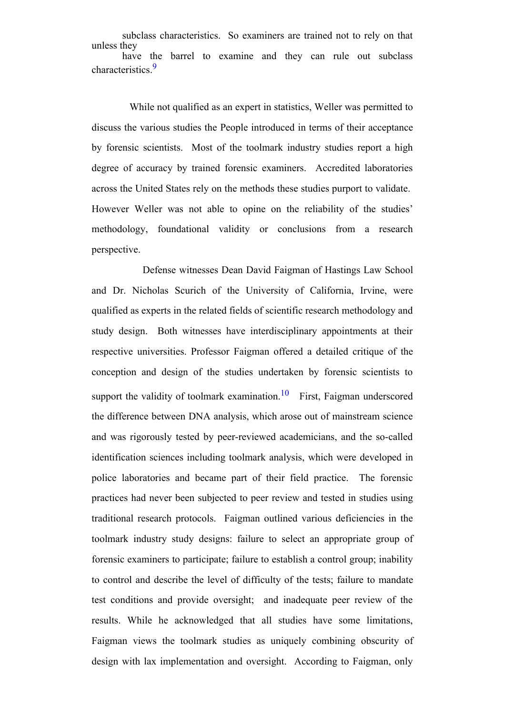subclass characteristics. So examiners are trained not to rely on that unless they have the barrel to examine and they can rule out subclass characteristics.<sup>9</sup>

While not qualified as an expert in statistics, Weller was permitted to discuss the various studies the People introduced in terms of their acceptance by forensic scientists. Most of the toolmark industry studies report a high degree of accuracy by trained forensic examiners. Accredited laboratories across the United States rely on the methods these studies purport to validate. However Weller was not able to opine on the reliability of the studies' methodology, foundational validity or conclusions from a research perspective.

Defense witnesses Dean David Faigman of Hastings Law School and Dr. Nicholas Scurich of the University of California, Irvine, were qualified as experts in the related fields of scientific research methodology and study design. Both witnesses have interdisciplinary appointments at their respective universities. Professor Faigman offered a detailed critique of the conception and design of the studies undertaken by forensic scientists to support the validity of toolmark examination.<sup>10</sup> First, Faigman underscored the difference between DNA analysis, which arose out of mainstream science and was rigorously tested by peer-reviewed academicians, and the so-called identification sciences including toolmark analysis, which were developed in police laboratories and became part of their field practice. The forensic practices had never been subjected to peer review and tested in studies using traditional research protocols. Faigman outlined various deficiencies in the toolmark industry study designs: failure to select an appropriate group of forensic examiners to participate; failure to establish a control group; inability to control and describe the level of difficulty of the tests; failure to mandate test conditions and provide oversight; and inadequate peer review of the results. While he acknowledged that all studies have some limitations, Faigman views the toolmark studies as uniquely combining obscurity of design with lax implementation and oversight. According to Faigman, only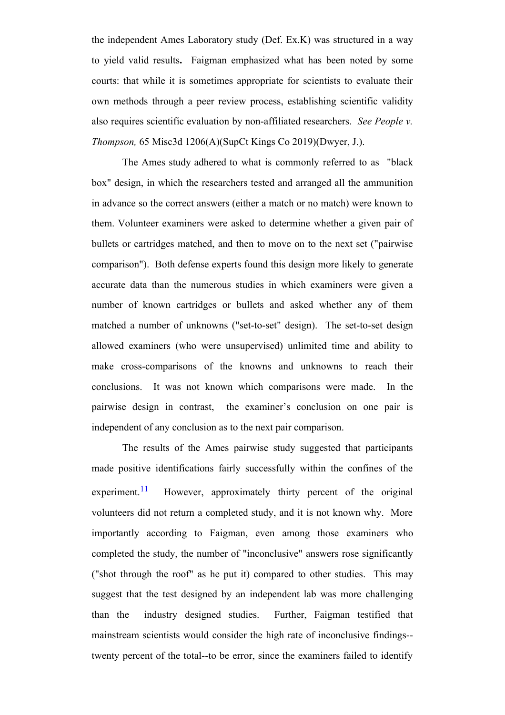the independent Ames Laboratory study (Def. Ex.K) was structured in a way to yield valid results**.** Faigman emphasized what has been noted by some courts: that while it is sometimes appropriate for scientists to evaluate their own methods through a peer review process, establishing scientific validity also requires scientific evaluation by non-affiliated researchers. *See People v. Thompson,* 65 Misc3d 1206(A)(SupCt Kings Co 2019)(Dwyer, J.).

The Ames study adhered to what is commonly referred to as "black box" design, in which the researchers tested and arranged all the ammunition in advance so the correct answers (either a match or no match) were known to them. Volunteer examiners were asked to determine whether a given pair of bullets or cartridges matched, and then to move on to the next set ("pairwise comparison"). Both defense experts found this design more likely to generate accurate data than the numerous studies in which examiners were given a number of known cartridges or bullets and asked whether any of them matched a number of unknowns ("set-to-set" design). The set-to-set design allowed examiners (who were unsupervised) unlimited time and ability to make cross-comparisons of the knowns and unknowns to reach their conclusions. It was not known which comparisons were made. In the pairwise design in contrast, the examiner's conclusion on one pair is independent of any conclusion as to the next pair comparison.

The results of the Ames pairwise study suggested that participants made positive identifications fairly successfully within the confines of the experiment.<sup>11</sup> However, approximately thirty percent of the original volunteers did not return a completed study, and it is not known why. More importantly according to Faigman, even among those examiners who completed the study, the number of "inconclusive" answers rose significantly ("shot through the roof" as he put it) compared to other studies. This may suggest that the test designed by an independent lab was more challenging than the industry designed studies. Further, Faigman testified that mainstream scientists would consider the high rate of inconclusive findings- twenty percent of the total--to be error, since the examiners failed to identify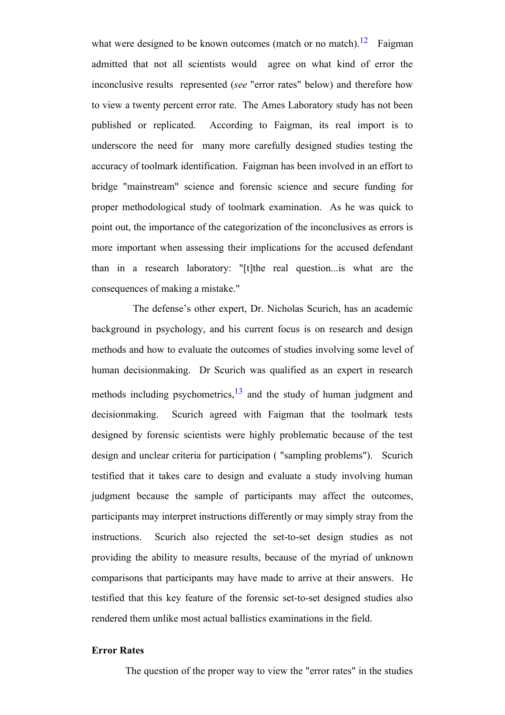what were designed to be known outcomes (match or no match).<sup>12</sup> Faigman admitted that not all scientists would agree on what kind of error the inconclusive results represented (*see* "error rates" below) and therefore how to view a twenty percent error rate. The Ames Laboratory study has not been published or replicated. According to Faigman, its real import is to underscore the need for many more carefully designed studies testing the accuracy of toolmark identification. Faigman has been involved in an effort to bridge "mainstream" science and forensic science and secure funding for proper methodological study of toolmark examination. As he was quick to point out, the importance of the categorization of the inconclusives as errors is more important when assessing their implications for the accused defendant than in a research laboratory: "[t]the real question...is what are the consequences of making a mistake."

The defense's other expert, Dr. Nicholas Scurich, has an academic background in psychology, and his current focus is on research and design methods and how to evaluate the outcomes of studies involving some level of human decisionmaking. Dr Scurich was qualified as an expert in research methods including psychometrics, $13$  and the study of human judgment and decisionmaking. Scurich agreed with Faigman that the toolmark tests designed by forensic scientists were highly problematic because of the test design and unclear criteria for participation ( "sampling problems"). Scurich testified that it takes care to design and evaluate a study involving human judgment because the sample of participants may affect the outcomes, participants may interpret instructions differently or may simply stray from the instructions. Scurich also rejected the set-to-set design studies as not providing the ability to measure results, because of the myriad of unknown comparisons that participants may have made to arrive at their answers. He testified that this key feature of the forensic set-to-set designed studies also rendered them unlike most actual ballistics examinations in the field.

## **Error Rates**

The question of the proper way to view the "error rates" in the studies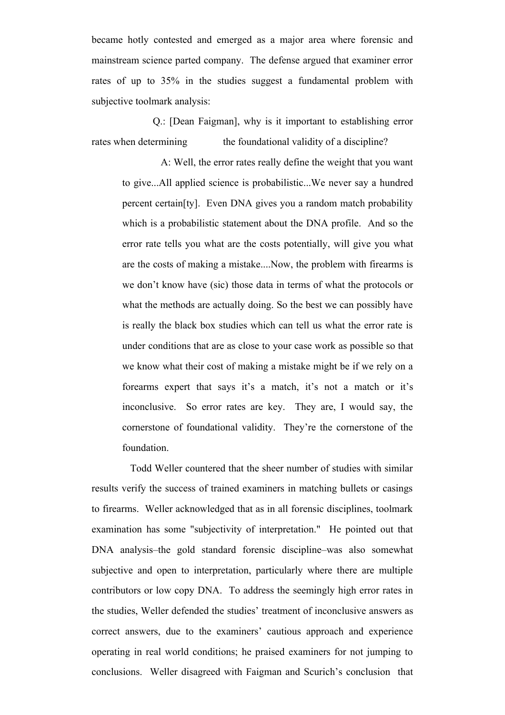became hotly contested and emerged as a major area where forensic and mainstream science parted company. The defense argued that examiner error rates of up to 35% in the studies suggest a fundamental problem with subjective toolmark analysis:

Q.: [Dean Faigman], why is it important to establishing error rates when determining the foundational validity of a discipline?

A: Well, the error rates really define the weight that you want to give...All applied science is probabilistic...We never say a hundred percent certain[ty]. Even DNA gives you a random match probability which is a probabilistic statement about the DNA profile. And so the error rate tells you what are the costs potentially, will give you what are the costs of making a mistake....Now, the problem with firearms is we don't know have (sic) those data in terms of what the protocols or what the methods are actually doing. So the best we can possibly have is really the black box studies which can tell us what the error rate is under conditions that are as close to your case work as possible so that we know what their cost of making a mistake might be if we rely on a forearms expert that says it's a match, it's not a match or it's inconclusive. So error rates are key. They are, I would say, the cornerstone of foundational validity. They're the cornerstone of the foundation.

Todd Weller countered that the sheer number of studies with similar results verify the success of trained examiners in matching bullets or casings to firearms. Weller acknowledged that as in all forensic disciplines, toolmark examination has some "subjectivity of interpretation." He pointed out that DNA analysis–the gold standard forensic discipline–was also somewhat subjective and open to interpretation, particularly where there are multiple contributors or low copy DNA. To address the seemingly high error rates in the studies, Weller defended the studies' treatment of inconclusive answers as correct answers, due to the examiners' cautious approach and experience operating in real world conditions; he praised examiners for not jumping to conclusions. Weller disagreed with Faigman and Scurich's conclusion that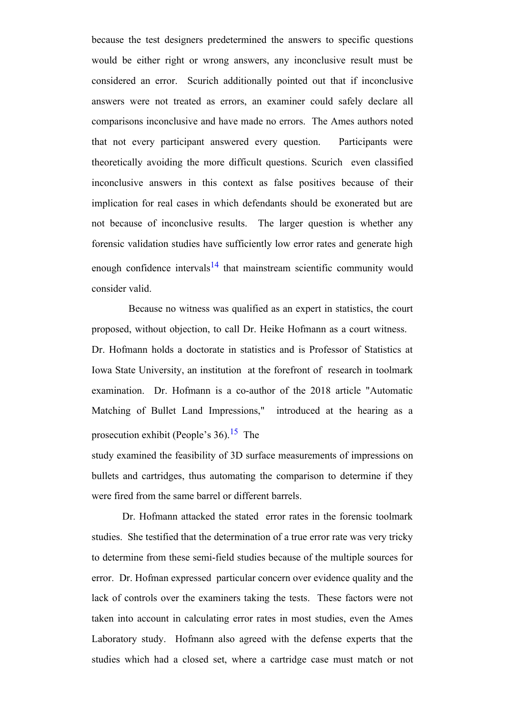because the test designers predetermined the answers to specific questions would be either right or wrong answers, any inconclusive result must be considered an error. Scurich additionally pointed out that if inconclusive answers were not treated as errors, an examiner could safely declare all comparisons inconclusive and have made no errors. The Ames authors noted that not every participant answered every question. Participants were theoretically avoiding the more difficult questions. Scurich even classified inconclusive answers in this context as false positives because of their implication for real cases in which defendants should be exonerated but are not because of inconclusive results. The larger question is whether any forensic validation studies have sufficiently low error rates and generate high enough confidence intervals $14$  that mainstream scientific community would consider valid.

Because no witness was qualified as an expert in statistics, the court proposed, without objection, to call Dr. Heike Hofmann as a court witness. Dr. Hofmann holds a doctorate in statistics and is Professor of Statistics at Iowa State University, an institution at the forefront of research in toolmark examination. Dr. Hofmann is a co-author of the 2018 article "Automatic Matching of Bullet Land Impressions," introduced at the hearing as a prosecution exhibit (People's 36).<sup>15</sup> The

study examined the feasibility of 3D surface measurements of impressions on bullets and cartridges, thus automating the comparison to determine if they were fired from the same barrel or different barrels.

Dr. Hofmann attacked the stated error rates in the forensic toolmark studies. She testified that the determination of a true error rate was very tricky to determine from these semi-field studies because of the multiple sources for error. Dr. Hofman expressed particular concern over evidence quality and the lack of controls over the examiners taking the tests. These factors were not taken into account in calculating error rates in most studies, even the Ames Laboratory study. Hofmann also agreed with the defense experts that the studies which had a closed set, where a cartridge case must match or not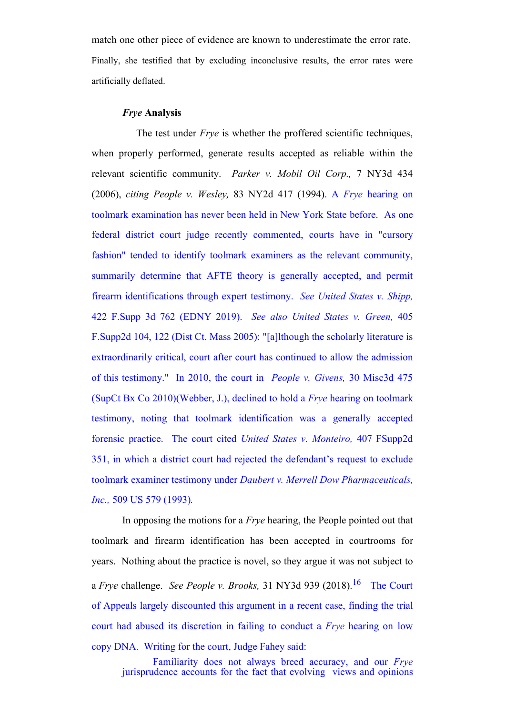match one other piece of evidence are known to underestimate the error rate. Finally, she testified that by excluding inconclusive results, the error rates were artificially deflated.

#### *Frye* **Analysis**

The test under *Frye* is whether the proffered scientific techniques, when properly performed, generate results accepted as reliable within the relevant scientific community. *Parker v. Mobil Oil Corp.,* 7 NY3d 434 (2006), *citing People v. Wesley,* 83 NY2d 417 (1994). A *Frye* hearing on toolmark examination has never been held in New York State before. As one federal district court judge recently commented, courts have in "cursory fashion" tended to identify toolmark examiners as the relevant community, summarily determine that AFTE theory is generally accepted, and permit firearm identifications through expert testimony. *See United States v. Shipp,* 422 F.Supp 3d 762 (EDNY 2019). *See also United States v. Green,* 405 F.Supp2d 104, 122 (Dist Ct. Mass 2005): "[a]lthough the scholarly literature is extraordinarily critical, court after court has continued to allow the admission of this testimony." In 2010, the court in *People v. Givens,* 30 Misc3d 475 (SupCt Bx Co 2010)(Webber, J.), declined to hold a *Frye* hearing on toolmark testimony, noting that toolmark identification was a generally accepted forensic practice. The court cited *United States v. Monteiro,* 407 FSupp2d 351, in which a district court had rejected the defendant's request to exclude toolmark examiner testimony under *Daubert v. Merrell Dow Pharmaceuticals, Inc.,* 509 US 579 (1993)*.* 

In opposing the motions for a *Frye* hearing, the People pointed out that toolmark and firearm identification has been accepted in courtrooms for years. Nothing about the practice is novel, so they argue it was not subject to a *Frye* challenge. *See People v. Brooks,* 31 NY3d 939 (2018).<sup>16</sup> The Court of Appeals largely discounted this argument in a recent case, finding the trial court had abused its discretion in failing to conduct a *Frye* hearing on low copy DNA. Writing for the court, Judge Fahey said:

Familiarity does not always breed accuracy, and our *Frye* jurisprudence accounts for the fact that evolving views and opinions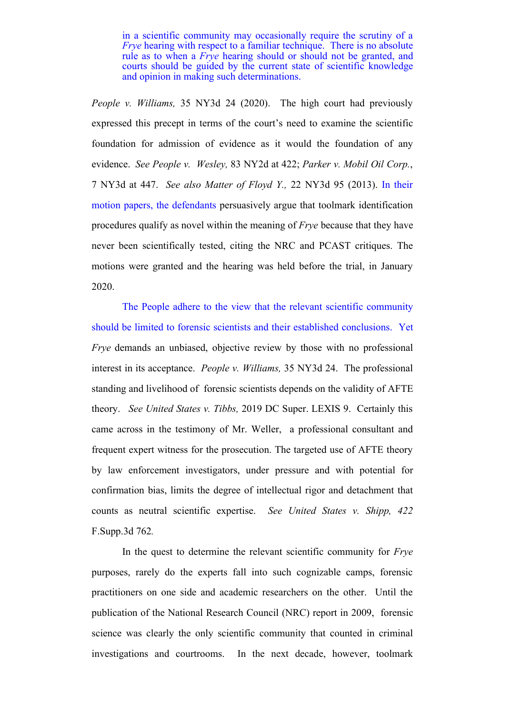in a scientific community may occasionally require the scrutiny of a *Frye* hearing with respect to a familiar technique. There is no absolute rule as to when a *Frye* hearing should or should not be granted, and courts should be guided by the current state of scientific knowledge and opinion in making such determinations.

*People v. Williams,* 35 NY3d 24 (2020). The high court had previously expressed this precept in terms of the court's need to examine the scientific foundation for admission of evidence as it would the foundation of any evidence. *See People v. Wesley,* 83 NY2d at 422; *Parker v. Mobil Oil Corp.*, 7 NY3d at 447. *See also Matter of Floyd Y.,* 22 NY3d 95 (2013). In their motion papers, the defendants persuasively argue that toolmark identification procedures qualify as novel within the meaning of *Frye* because that they have never been scientifically tested, citing the NRC and PCAST critiques. The motions were granted and the hearing was held before the trial, in January 2020.

The People adhere to the view that the relevant scientific community should be limited to forensic scientists and their established conclusions. Yet *Frye* demands an unbiased, objective review by those with no professional interest in its acceptance. *People v. Williams,* 35 NY3d 24. The professional standing and livelihood of forensic scientists depends on the validity of AFTE theory. *See United States v. Tibbs,* 2019 DC Super. LEXIS 9. Certainly this came across in the testimony of Mr. Weller, a professional consultant and frequent expert witness for the prosecution. The targeted use of AFTE theory by law enforcement investigators, under pressure and with potential for confirmation bias, limits the degree of intellectual rigor and detachment that counts as neutral scientific expertise. *See United States v. Shipp, 422* F.Supp.3d 762*.*

In the quest to determine the relevant scientific community for *Frye* purposes, rarely do the experts fall into such cognizable camps, forensic practitioners on one side and academic researchers on the other. Until the publication of the National Research Council (NRC) report in 2009, forensic science was clearly the only scientific community that counted in criminal investigations and courtrooms. In the next decade, however, toolmark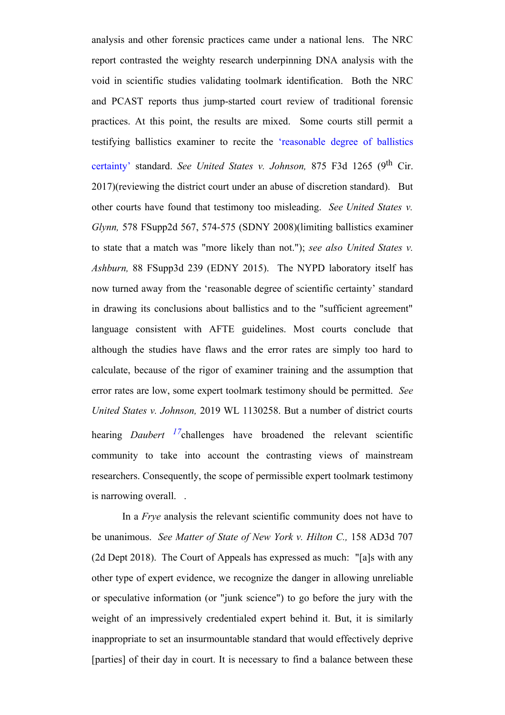analysis and other forensic practices came under a national lens. The NRC report contrasted the weighty research underpinning DNA analysis with the void in scientific studies validating toolmark identification. Both the NRC and PCAST reports thus jump-started court review of traditional forensic practices. At this point, the results are mixed. Some courts still permit a testifying ballistics examiner to recite the 'reasonable degree of ballistics certainty' standard. *See United States v. Johnson*, 875 F3d 1265 (9<sup>th</sup> Cir. 2017)(reviewing the district court under an abuse of discretion standard). But other courts have found that testimony too misleading. *See United States v. Glynn,* 578 FSupp2d 567, 574-575 (SDNY 2008)(limiting ballistics examiner to state that a match was "more likely than not."); *see also United States v. Ashburn,* 88 FSupp3d 239 (EDNY 2015). The NYPD laboratory itself has now turned away from the 'reasonable degree of scientific certainty' standard in drawing its conclusions about ballistics and to the "sufficient agreement" language consistent with AFTE guidelines. Most courts conclude that although the studies have flaws and the error rates are simply too hard to calculate, because of the rigor of examiner training and the assumption that error rates are low, some expert toolmark testimony should be permitted. *See United States v. Johnson,* 2019 WL 1130258. But a number of district courts hearing *Daubert 17*challenges have broadened the relevant scientific community to take into account the contrasting views of mainstream researchers. Consequently, the scope of permissible expert toolmark testimony is narrowing overall. .

In a *Frye* analysis the relevant scientific community does not have to be unanimous. *See Matter of State of New York v. Hilton C.,* 158 AD3d 707 (2d Dept 2018).The Court of Appeals has expressed as much: "[a]s with any other type of expert evidence, we recognize the danger in allowing unreliable or speculative information (or "junk science") to go before the jury with the weight of an impressively credentialed expert behind it. But, it is similarly inappropriate to set an insurmountable standard that would effectively deprive [parties] of their day in court. It is necessary to find a balance between these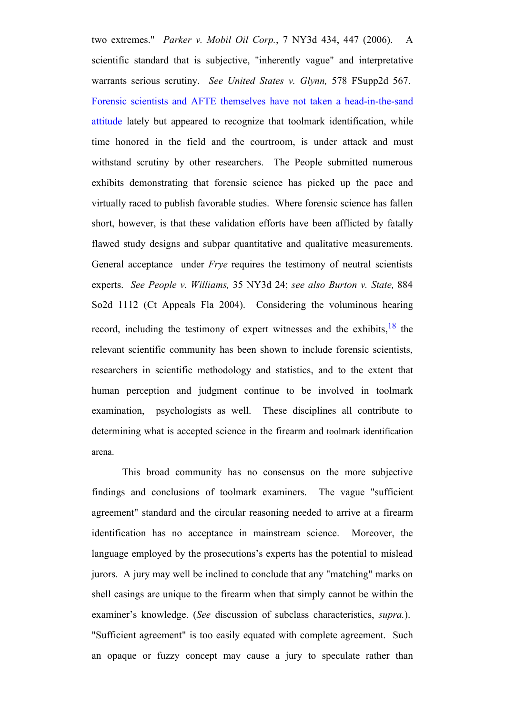two extremes." *Parker v. Mobil Oil Corp.*, 7 NY3d 434, 447 (2006). A scientific standard that is subjective, "inherently vague" and interpretative warrants serious scrutiny. *See United States v. Glynn,* 578 FSupp2d 567. Forensic scientists and AFTE themselves have not taken a head-in-the-sand attitude lately but appeared to recognize that toolmark identification, while time honored in the field and the courtroom, is under attack and must withstand scrutiny by other researchers. The People submitted numerous exhibits demonstrating that forensic science has picked up the pace and virtually raced to publish favorable studies. Where forensic science has fallen short, however, is that these validation efforts have been afflicted by fatally flawed study designs and subpar quantitative and qualitative measurements. General acceptance under *Frye* requires the testimony of neutral scientists experts. *See People v. Williams,* 35 NY3d 24; *see also Burton v. State,* 884 So2d 1112 (Ct Appeals Fla 2004). Considering the voluminous hearing record, including the testimony of expert witnesses and the exhibits,  $18$  the relevant scientific community has been shown to include forensic scientists, researchers in scientific methodology and statistics, and to the extent that human perception and judgment continue to be involved in toolmark examination, psychologists as well. These disciplines all contribute to determining what is accepted science in the firearm and toolmark identification arena.

This broad community has no consensus on the more subjective findings and conclusions of toolmark examiners. The vague "sufficient agreement" standard and the circular reasoning needed to arrive at a firearm identification has no acceptance in mainstream science. Moreover, the language employed by the prosecutions's experts has the potential to mislead jurors. A jury may well be inclined to conclude that any "matching" marks on shell casings are unique to the firearm when that simply cannot be within the examiner's knowledge. (*See* discussion of subclass characteristics, *supra.*). "Sufficient agreement" is too easily equated with complete agreement. Such an opaque or fuzzy concept may cause a jury to speculate rather than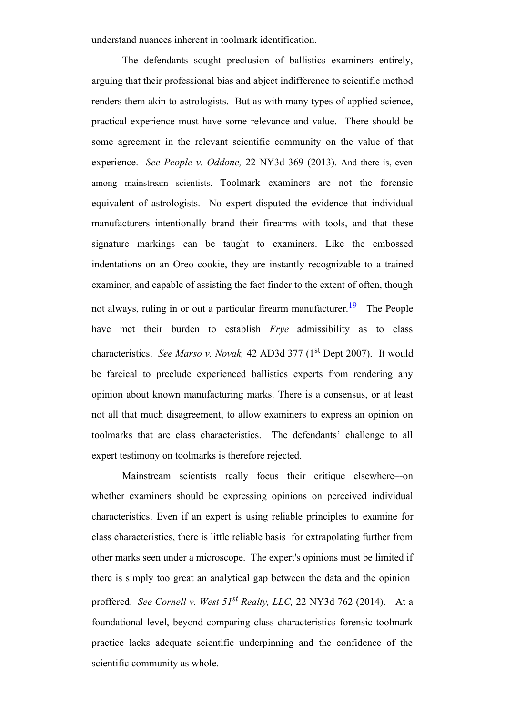understand nuances inherent in toolmark identification.

The defendants sought preclusion of ballistics examiners entirely, arguing that their professional bias and abject indifference to scientific method renders them akin to astrologists. But as with many types of applied science, practical experience must have some relevance and value. There should be some agreement in the relevant scientific community on the value of that experience. *See People v. Oddone,* 22 NY3d 369 (2013). And there is, even among mainstream scientists. Toolmark examiners are not the forensic equivalent of astrologists. No expert disputed the evidence that individual manufacturers intentionally brand their firearms with tools, and that these signature markings can be taught to examiners. Like the embossed indentations on an Oreo cookie, they are instantly recognizable to a trained examiner, and capable of assisting the fact finder to the extent of often, though not always, ruling in or out a particular firearm manufacturer.<sup>19</sup> The People have met their burden to establish *Frye* admissibility as to class characteristics. *See Marso v. Novak,* 42 AD3d 377 (1<sup>st</sup> Dept 2007). It would be farcical to preclude experienced ballistics experts from rendering any opinion about known manufacturing marks. There is a consensus, or at least not all that much disagreement, to allow examiners to express an opinion on toolmarks that are class characteristics. The defendants' challenge to all expert testimony on toolmarks is therefore rejected.

Mainstream scientists really focus their critique elsewhere–-on whether examiners should be expressing opinions on perceived individual characteristics. Even if an expert is using reliable principles to examine for class characteristics, there is little reliable basis for extrapolating further from other marks seen under a microscope. The expert's opinions must be limited if there is simply too great an analytical gap between the data and the opinion proffered. *See Cornell v. West 51st Realty, LLC,* 22 NY3d 762 (2014). At a foundational level, beyond comparing class characteristics forensic toolmark practice lacks adequate scientific underpinning and the confidence of the scientific community as whole.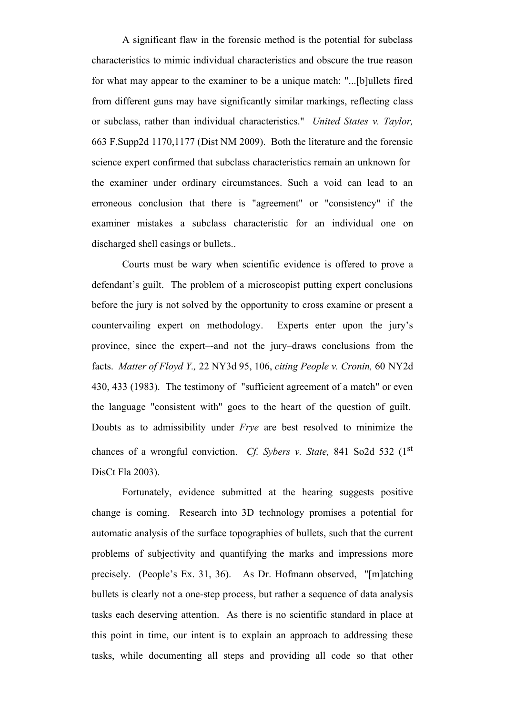A significant flaw in the forensic method is the potential for subclass characteristics to mimic individual characteristics and obscure the true reason for what may appear to the examiner to be a unique match: "...[b]ullets fired from different guns may have significantly similar markings, reflecting class or subclass, rather than individual characteristics." *United States v. Taylor,* 663 F.Supp2d 1170,1177 (Dist NM 2009). Both the literature and the forensic science expert confirmed that subclass characteristics remain an unknown for the examiner under ordinary circumstances. Such a void can lead to an erroneous conclusion that there is "agreement" or "consistency" if the examiner mistakes a subclass characteristic for an individual one on discharged shell casings or bullets..

Courts must be wary when scientific evidence is offered to prove a defendant's guilt. The problem of a microscopist putting expert conclusions before the jury is not solved by the opportunity to cross examine or present a countervailing expert on methodology. Experts enter upon the jury's province, since the expert–-and not the jury–draws conclusions from the facts. *Matter of Floyd Y.,* 22 NY3d 95, 106, *citing People v. Cronin,* 60 NY2d 430, 433 (1983). The testimony of "sufficient agreement of a match" or even the language "consistent with" goes to the heart of the question of guilt. Doubts as to admissibility under *Frye* are best resolved to minimize the chances of a wrongful conviction. *Cf. Sybers v. State,* 841 So2d 532 (1st DisCt Fla 2003).

Fortunately, evidence submitted at the hearing suggests positive change is coming. Research into 3D technology promises a potential for automatic analysis of the surface topographies of bullets, such that the current problems of subjectivity and quantifying the marks and impressions more precisely. (People's Ex. 31, 36). As Dr. Hofmann observed, "[m]atching bullets is clearly not a one-step process, but rather a sequence of data analysis tasks each deserving attention. As there is no scientific standard in place at this point in time, our intent is to explain an approach to addressing these tasks, while documenting all steps and providing all code so that other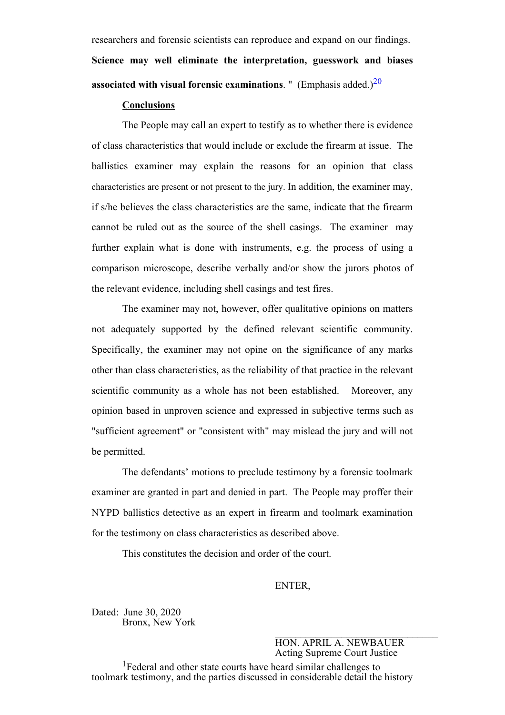researchers and forensic scientists can reproduce and expand on our findings. **Science may well eliminate the interpretation, guesswork and biases associated with visual forensic examinations.** " (Emphasis added.) $^{20}$ 

### **Conclusions**

The People may call an expert to testify as to whether there is evidence of class characteristics that would include or exclude the firearm at issue. The ballistics examiner may explain the reasons for an opinion that class characteristics are present or not present to the jury. In addition, the examiner may, if s/he believes the class characteristics are the same, indicate that the firearm cannot be ruled out as the source of the shell casings. The examiner may further explain what is done with instruments, e.g. the process of using a comparison microscope, describe verbally and/or show the jurors photos of the relevant evidence, including shell casings and test fires.

The examiner may not, however, offer qualitative opinions on matters not adequately supported by the defined relevant scientific community. Specifically, the examiner may not opine on the significance of any marks other than class characteristics, as the reliability of that practice in the relevant scientific community as a whole has not been established. Moreover, any opinion based in unproven science and expressed in subjective terms such as "sufficient agreement" or "consistent with" may mislead the jury and will not be permitted.

The defendants' motions to preclude testimony by a forensic toolmark examiner are granted in part and denied in part. The People may proffer their NYPD ballistics detective as an expert in firearm and toolmark examination for the testimony on class characteristics as described above.

This constitutes the decision and order of the court.

# ENTER,

Dated: June 30, 2020 Bronx, New York

 $\mathcal{L}_\text{max}$ HON. APRIL A. NEWBAUER Acting Supreme Court Justice

<sup>1</sup> Federal and other state courts have heard similar challenges to toolmark testimony, and the parties discussed in considerable detail the history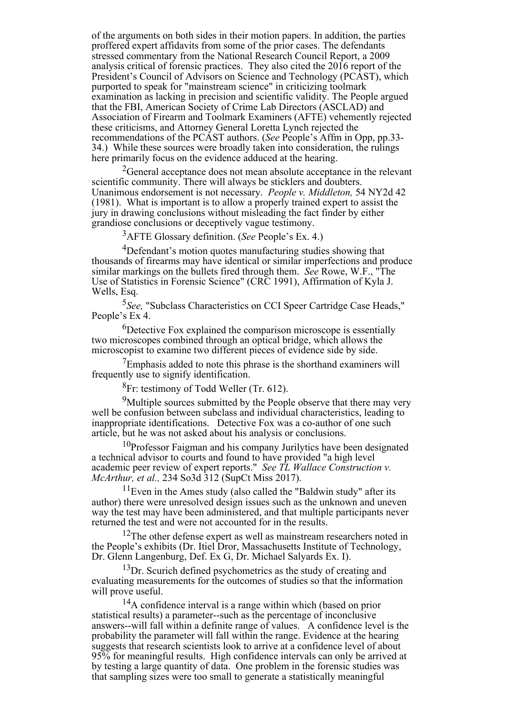of the arguments on both sides in their motion papers. In addition, the parties proffered expert affidavits from some of the prior cases. The defendants stressed commentary from the National Research Council Report, a 2009 analysis critical of forensic practices. They also cited the 2016 report of the President's Council of Advisors on Science and Technology (PCAST), which purported to speak for "mainstream science" in criticizing toolmark examination as lacking in precision and scientific validity. The People argued that the FBI, American Society of Crime Lab Directors (ASCLAD) and Association of Firearm and Toolmark Examiners (AFTE) vehemently rejected these criticisms, and Attorney General Loretta Lynch rejected the recommendations of the PCAST authors. (*See* People's Affm in Opp, pp.33- 34.) While these sources were broadly taken into consideration, the rulings here primarily focus on the evidence adduced at the hearing.

 $2$ General acceptance does not mean absolute acceptance in the relevant scientific community. There will always be sticklers and doubters. Unanimous endorsement is not necessary. *People v. Middleton,* 54 NY2d 42 (1981). What is important is to allow a properly trained expert to assist the jury in drawing conclusions without misleading the fact finder by either grandiose conclusions or deceptively vague testimony.

<sup>3</sup>AFTE Glossary definition. (*See* People's Ex. 4.)

<sup>4</sup>Defendant's motion quotes manufacturing studies showing that thousands of firearms may have identical or similar imperfections and produce similar markings on the bullets fired through them. *See* Rowe, W.F., "The Use of Statistics in Forensic Science" (CRC 1991), Affirmation of Kyla J. Wells, Esq.

<sup>5</sup>*See,* "Subclass Characteristics on CCI Speer Cartridge Case Heads," People's Ex 4.

<sup>6</sup>Detective Fox explained the comparison microscope is essentially two microscopes combined through an optical bridge, which allows the microscopist to examine two different pieces of evidence side by side.

 $7$ Emphasis added to note this phrase is the shorthand examiners will frequently use to signify identification.

 ${}^{8}$ Fr: testimony of Todd Weller (Tr. 612).

<sup>9</sup>Multiple sources submitted by the People observe that there may very well be confusion between subclass and individual characteristics, leading to inappropriate identifications. Detective Fox was a co-author of one such article, but he was not asked about his analysis or conclusions.

<sup>10</sup>Professor Faigman and his company Jurilytics have been designated a technical advisor to courts and found to have provided "a high level academic peer review of expert reports." *See TL Wallace Construction v. McArthur, et al.,* 234 So3d 312 (SupCt Miss 2017).

 $11$ Even in the Ames study (also called the "Baldwin study" after its author) there were unresolved design issues such as the unknown and uneven way the test may have been administered, and that multiple participants never returned the test and were not accounted for in the results.

 $12$ The other defense expert as well as mainstream researchers noted in the People's exhibits (Dr. Itiel Dror, Massachusetts Institute of Technology, Dr. Glenn Langenburg, Def. Ex G, Dr. Michael Salyards Ex. I).

 $13\text{Dr}$ . Scurich defined psychometrics as the study of creating and evaluating measurements for the outcomes of studies so that the information will prove useful.

<sup>14</sup>A confidence interval is a range within which (based on prior statistical results) a parameter--such as the percentage of inconclusive answers--will fall within a definite range of values. A confidence level is the probability the parameter will fall within the range. Evidence at the hearing suggests that research scientists look to arrive at a confidence level of about 95% for meaningful results. High confidence intervals can only be arrived at by testing a large quantity of data. One problem in the forensic studies was that sampling sizes were too small to generate a statistically meaningful